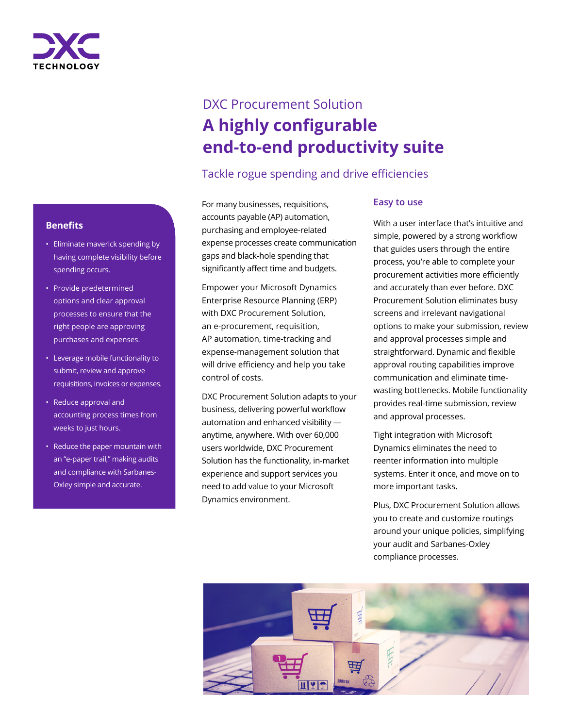

# DXC Procurement Solution **A highly configurable end-to-end productivity suite**

# Tackle rogue spending and drive efficiencies

For many businesses, requisitions, accounts payable (AP) automation, purchasing and employee-related expense processes create communication gaps and black-hole spending that significantly affect time and budgets.

Empower your Microsoft Dynamics Enterprise Resource Planning (ERP) with DXC Procurement Solution, an e-procurement, requisition, AP automation, time-tracking and expense-management solution that will drive efficiency and help you take control of costs.

DXC Procurement Solution adapts to your business, delivering powerful workflow automation and enhanced visibility anytime, anywhere. With over 60,000 users worldwide, DXC Procurement Solution has the functionality, in-market experience and support services you need to add value to your Microsoft Dynamics environment.

### **Easy to use**

With a user interface that's intuitive and simple, powered by a strong workflow that guides users through the entire process, you're able to complete your procurement activities more efficiently and accurately than ever before. DXC Procurement Solution eliminates busy screens and irrelevant navigational options to make your submission, review and approval processes simple and straightforward. Dynamic and flexible approval routing capabilities improve communication and eliminate timewasting bottlenecks. Mobile functionality provides real-time submission, review and approval processes.

Tight integration with Microsoft Dynamics eliminates the need to reenter information into multiple systems. Enter it once, and move on to more important tasks.

Plus, DXC Procurement Solution allows you to create and customize routings around your unique policies, simplifying your audit and Sarbanes-Oxley compliance processes.



### **Benefits**

- Eliminate maverick spending by having complete visibility before spending occurs.
- Provide predetermined options and clear approval processes to ensure that the right people are approving purchases and expenses.
- Leverage mobile functionality to submit, review and approve requisitions, invoices or expenses.
- Reduce approval and accounting process times from weeks to just hours.
- Reduce the paper mountain with an "e-paper trail," making audits and compliance with Sarbanes-Oxley simple and accurate.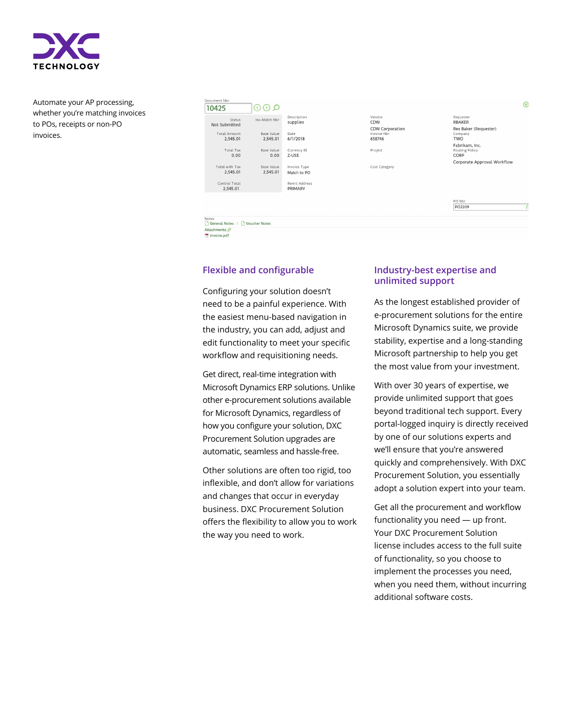

Automate your AP processing, whether you're matching invoices to POs, receipts or non-PO invoices.



Vendor<br>CDW CDW Corporation 658746 Project

Cost Category

Rex Baker (Requester) Compar<br>**TWO** Fabrikam, Inc.<br>Routing Policy<br>CORP Corporate Approval Workflow

Requester<br>RBAKER

PO NUL

Notes<br>
General Notes / D Voucher Notes Attachments

invoice.pdf

### **Flexible and configurable**

Configuring your solution doesn't need to be a painful experience. With the easiest menu-based navigation in the industry, you can add, adjust and edit functionality to meet your specific workflow and requisitioning needs.

Get direct, real-time integration with Microsoft Dynamics ERP solutions. Unlike other e-procurement solutions available for Microsoft Dynamics, regardless of how you configure your solution, DXC Procurement Solution upgrades are automatic, seamless and hassle-free.

Other solutions are often too rigid, too inflexible, and don't allow for variations and changes that occur in everyday business. DXC Procurement Solution offers the flexibility to allow you to work the way you need to work.

### **Industry-best expertise and unlimited support**

As the longest established provider of e-procurement solutions for the entire Microsoft Dynamics suite, we provide stability, expertise and a long-standing Microsoft partnership to help you get the most value from your investment.

With over 30 years of expertise, we provide unlimited support that goes beyond traditional tech support. Every portal-logged inquiry is directly received by one of our solutions experts and we'll ensure that you're answered quickly and comprehensively. With DXC Procurement Solution, you essentially adopt a solution expert into your team.

Get all the procurement and workflow functionality you need — up front. Your DXC Procurement Solution license includes access to the full suite of functionality, so you choose to implement the processes you need, when you need them, without incurring additional software costs.

 $\circledcirc$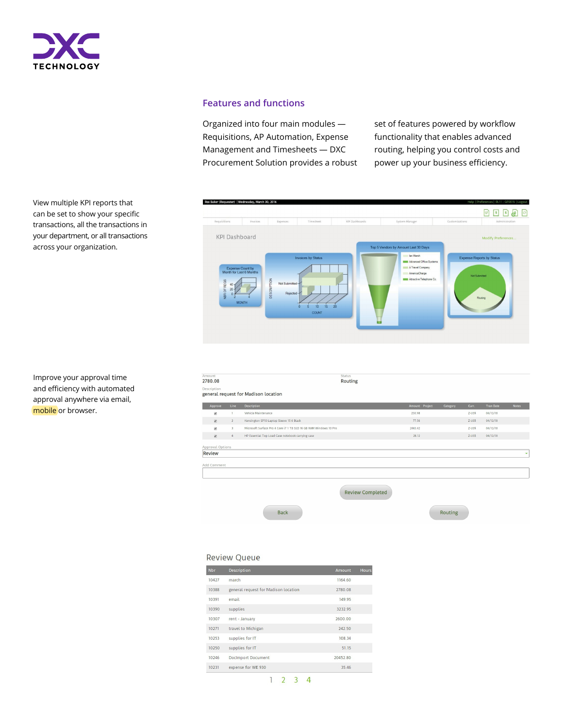

### **Features and functions**

Organized into four main modules — Requisitions, AP Automation, Expense Management and Timesheets — DXC Procurement Solution provides a robust set of features powered by workflow functionality that enables advanced routing, helping you control costs and power up your business efficiency.

Routing



Improve your approval time and efficiency with automated approval anywhere via email, mobile or browser.

View multiple KPI reports that can be set to show your specific transactions, all the transactions in your department, or all transactions

across your organization.

#### 2780.08 De:

| general request for Madison location |                         |  |                                                                   |  |                |          |           |                  |              |  |  |
|--------------------------------------|-------------------------|--|-------------------------------------------------------------------|--|----------------|----------|-----------|------------------|--------------|--|--|
| Approve                              | Line                    |  | <b>Description</b>                                                |  | Amount Project | Category | Curr.     | <b>Tran Date</b> | <b>Notes</b> |  |  |
| $\overline{\mathbf{v}}$              |                         |  | Vehicle Maintenance                                               |  | 230.98         |          | $Z$ -US\$ | 04/12/18         |              |  |  |
| $\overline{\mathcal{L}}$             | $\overline{2}$          |  | Kensington SP10 Laptop Sleeve 15 6 Black                          |  | 77.56          |          | $Z$ -US\$ | 04/12/18         |              |  |  |
| $\overline{\mathbf{v}}$              | $\overline{\mathbf{3}}$ |  | Microsoft Surface Pro 4 Core i7 1 TB SSD 16 GB RAM Windows 10 Pro |  | 2443.42        |          | $Z$ -US\$ | 04/12/18         |              |  |  |
| $\overline{\mathcal{L}}$             | $\overline{4}$          |  | HP Essential Top Load Case notebook carrying case                 |  | 28.12          |          | $Z$ -US\$ | 04/12/18         |              |  |  |
| Approval Options                     |                         |  |                                                                   |  |                |          |           |                  |              |  |  |
| Review                               |                         |  |                                                                   |  |                |          |           |                  | ÷            |  |  |
| Add Comment                          |                         |  |                                                                   |  |                |          |           |                  |              |  |  |
| <b>Review Completed</b>              |                         |  |                                                                   |  |                |          |           |                  |              |  |  |

Status<br>**Routing** 

### **Review Queue**

| <b>Nbr</b> | <b>Description</b>                   | <b>Amount</b> | <b>Hours</b> |
|------------|--------------------------------------|---------------|--------------|
| 10427      | march                                | 1164 60       |              |
| 10388      | general request for Madison location | 2780.08       |              |
| 10391      | email                                | 149.95        |              |
| 10390      | supplies                             | 3232.95       |              |
| 10307      | rent - January                       | 2600.00       |              |
| 10271      | travel to Michigan                   | 242.50        |              |
| 10253      | supplies for IT                      | 108.34        |              |
| 10250      | supplies for IT                      | 51 15         |              |
| 10246      | <b>Doclmport Document</b>            | 2045280       |              |
| 10231      | expense for WE 930                   | 35 46         |              |

Back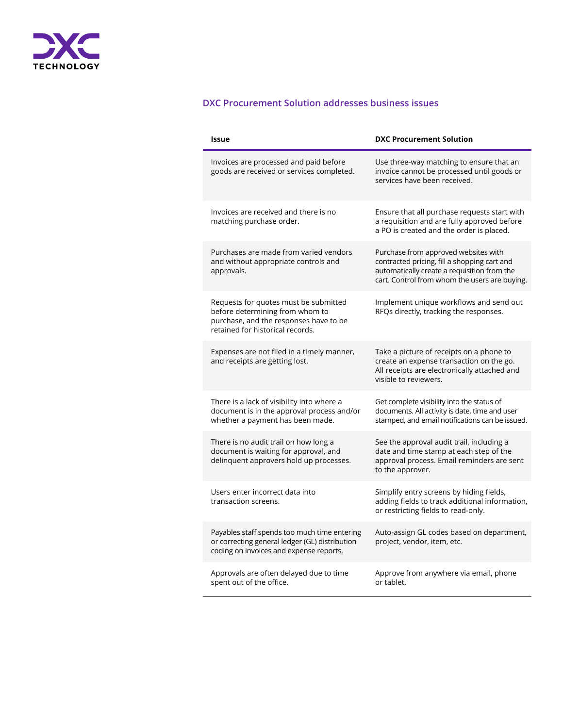

## **DXC Procurement Solution addresses business issues**

| <b>Issue</b>                                                                                                                                           | <b>DXC Procurement Solution</b>                                                                                                                                                      |  |  |  |
|--------------------------------------------------------------------------------------------------------------------------------------------------------|--------------------------------------------------------------------------------------------------------------------------------------------------------------------------------------|--|--|--|
| Invoices are processed and paid before<br>goods are received or services completed.                                                                    | Use three-way matching to ensure that an<br>invoice cannot be processed until goods or<br>services have been received.                                                               |  |  |  |
| Invoices are received and there is no<br>matching purchase order.                                                                                      | Ensure that all purchase requests start with<br>a requisition and are fully approved before<br>a PO is created and the order is placed.                                              |  |  |  |
| Purchases are made from varied vendors<br>and without appropriate controls and<br>approvals.                                                           | Purchase from approved websites with<br>contracted pricing, fill a shopping cart and<br>automatically create a requisition from the<br>cart. Control from whom the users are buying. |  |  |  |
| Requests for quotes must be submitted<br>before determining from whom to<br>purchase, and the responses have to be<br>retained for historical records. | Implement unique workflows and send out<br>RFQs directly, tracking the responses.                                                                                                    |  |  |  |
| Expenses are not filed in a timely manner,<br>and receipts are getting lost.                                                                           | Take a picture of receipts on a phone to<br>create an expense transaction on the go.<br>All receipts are electronically attached and<br>visible to reviewers.                        |  |  |  |
| There is a lack of visibility into where a<br>document is in the approval process and/or<br>whether a payment has been made.                           | Get complete visibility into the status of<br>documents. All activity is date, time and user<br>stamped, and email notifications can be issued.                                      |  |  |  |
| There is no audit trail on how long a<br>document is waiting for approval, and<br>delinquent approvers hold up processes.                              | See the approval audit trail, including a<br>date and time stamp at each step of the<br>approval process. Email reminders are sent<br>to the approver.                               |  |  |  |
| Users enter incorrect data into<br>transaction screens.                                                                                                | Simplify entry screens by hiding fields,<br>adding fields to track additional information,<br>or restricting fields to read-only.                                                    |  |  |  |
| Payables staff spends too much time entering<br>or correcting general ledger (GL) distribution<br>coding on invoices and expense reports.              | Auto-assign GL codes based on department,<br>project, vendor, item, etc.                                                                                                             |  |  |  |
| Approvals are often delayed due to time<br>spent out of the office.                                                                                    | Approve from anywhere via email, phone<br>or tablet.                                                                                                                                 |  |  |  |